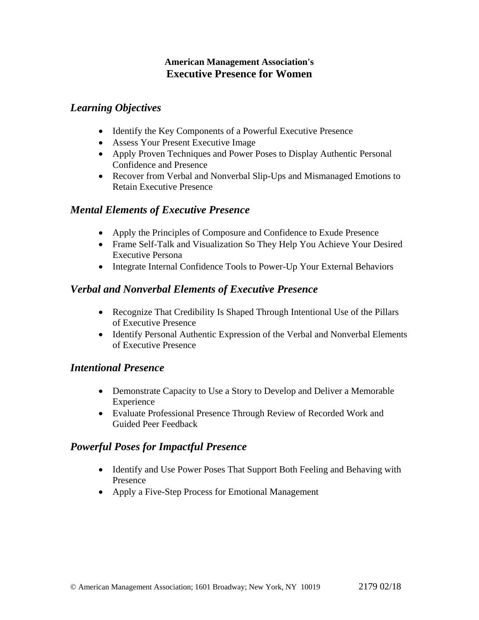#### **American Management Association's Executive Presence for Women**

### *Learning Objectives*

- Identify the Key Components of a Powerful Executive Presence
- Assess Your Present Executive Image
- Apply Proven Techniques and Power Poses to Display Authentic Personal Confidence and Presence
- Recover from Verbal and Nonverbal Slip-Ups and Mismanaged Emotions to Retain Executive Presence

### *Mental Elements of Executive Presence*

- Apply the Principles of Composure and Confidence to Exude Presence
- Frame Self-Talk and Visualization So They Help You Achieve Your Desired Executive Persona
- Integrate Internal Confidence Tools to Power-Up Your External Behaviors

# *Verbal and Nonverbal Elements of Executive Presence*

- Recognize That Credibility Is Shaped Through Intentional Use of the Pillars of Executive Presence
- Identify Personal Authentic Expression of the Verbal and Nonverbal Elements of Executive Presence

# *Intentional Presence*

- Demonstrate Capacity to Use a Story to Develop and Deliver a Memorable Experience
- Evaluate Professional Presence Through Review of Recorded Work and Guided Peer Feedback

# *Powerful Poses for Impactful Presence*

- Identify and Use Power Poses That Support Both Feeling and Behaving with Presence
- Apply a Five-Step Process for Emotional Management